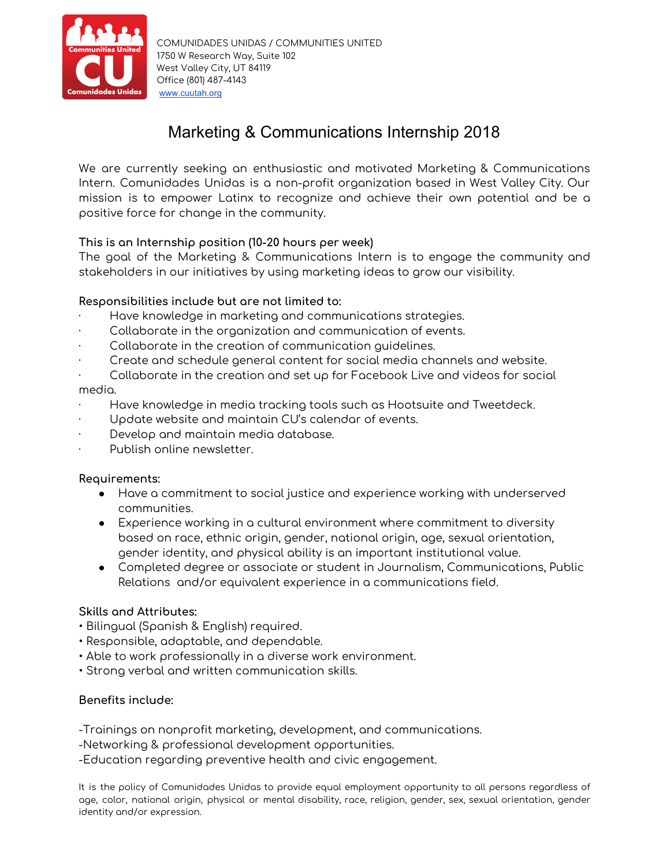

# Marketing & Communications Internship 2018

We are currently seeking an enthusiastic and motivated Marketing & Communications Intern. Comunidades Unidas is a non-profit organization based in West Valley City. Our mission is to empower Latinx to recognize and achieve their own potential and be a positive force for change in the community.

## **This is an Internship position (10-20 hours per week)**

The goal of the Marketing & Communications Intern is to engage the community and stakeholders in our initiatives by using marketing ideas to grow our visibility.

## **Responsibilities include but are not limited to:**

- Have knowledge in marketing and communications strategies.
- Collaborate in the organization and communication of events.
- Collaborate in the creation of communication guidelines.
- · Create and schedule general content for social media channels and website.
- · Collaborate in the creation and set up for Facebook Live and videos for social

## media.

- · Have knowledge in media tracking tools such as Hootsuite and Tweetdeck.
- Update website and maintain CU's calendar of events.
- Develop and maintain media database.
- Publish online newsletter.

## **Requirements:**

- Have a commitment to social justice and experience working with underserved communities.
- Experience working in a cultural environment where commitment to diversity based on race, ethnic origin, gender, national origin, age, sexual orientation, gender identity, and physical ability is an important institutional value.
- Completed degree or associate or student in Journalism, Communications, Public Relations and/or equivalent experience in a communications field.

## **Skills and Attributes:**

- Bilingual (Spanish & English) required.
- Responsible, adaptable, and dependable.
- Able to work professionally in a diverse work environment.
- Strong verbal and written communication skills.

## **Benefits include:**

-Trainings on nonprofit marketing, development, and communications.

-Networking & professional development opportunities.

-Education regarding preventive health and civic engagement.

It is the policy of Comunidades Unidas to provide equal employment opportunity to all persons regardless of age, color, national origin, physical or mental disability, race, religion, gender, sex, sexual orientation, gender identity and/or expression.